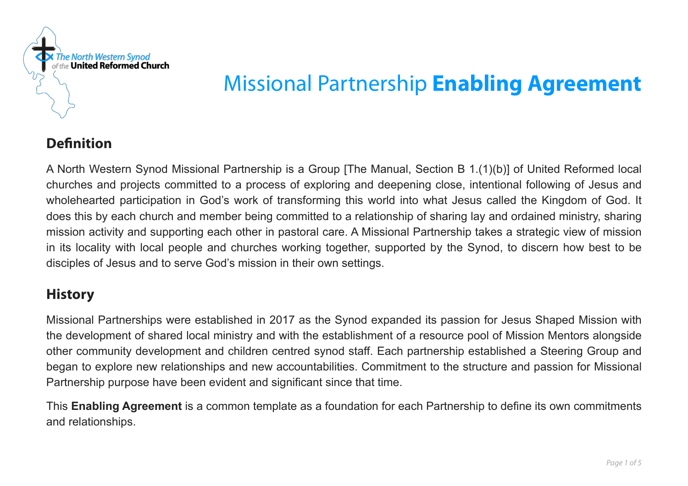

# Missional Partnership **Enabling Agreement**

# **Definition**

A North Western Synod Missional Partnership is a Group [The Manual, Section B 1.(1)(b)] of United Reformed local churches and projects committed to a process of exploring and deepening close, intentional following of Jesus and wholehearted participation in God's work of transforming this world into what Jesus called the Kingdom of God. It does this by each church and member being committed to a relationship of sharing lay and ordained ministry, sharing mission activity and supporting each other in pastoral care. A Missional Partnership takes a strategic view of mission in its locality with local people and churches working together, supported by the Synod, to discern how best to be disciples of Jesus and to serve God's mission in their own settings.

# **History**

Missional Partnerships were established in 2017 as the Synod expanded its passion for Jesus Shaped Mission with the development of shared local ministry and with the establishment of a resource pool of Mission Mentors alongside other community development and children centred synod staff. Each partnership established a Steering Group and began to explore new relationships and new accountabilities. Commitment to the structure and passion for Missional Partnership purpose have been evident and significant since that time.

This **Enabling Agreement** is a common template as a foundation for each Partnership to define its own commitments and relationships.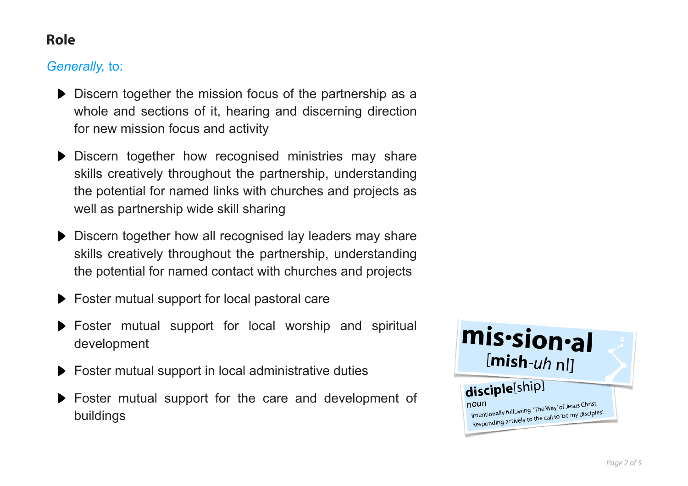# **Role**

## *Generally,* to:

- Discern together the mission focus of the partnership as a whole and sections of it, hearing and discerning direction for new mission focus and activity
- Discern together how recognised ministries may share skills creatively throughout the partnership, understanding the potential for named links with churches and projects as well as partnership wide skill sharing
- Discern together how all recognised lay leaders may share skills creatively throughout the partnership, understanding the potential for named contact with churches and projects
- Foster mutual support for local pastoral care
- Foster mutual support for local worship and spiritual development
- ▶ Foster mutual support in local administrative duties
- Foster mutual support for the care and development of buildings

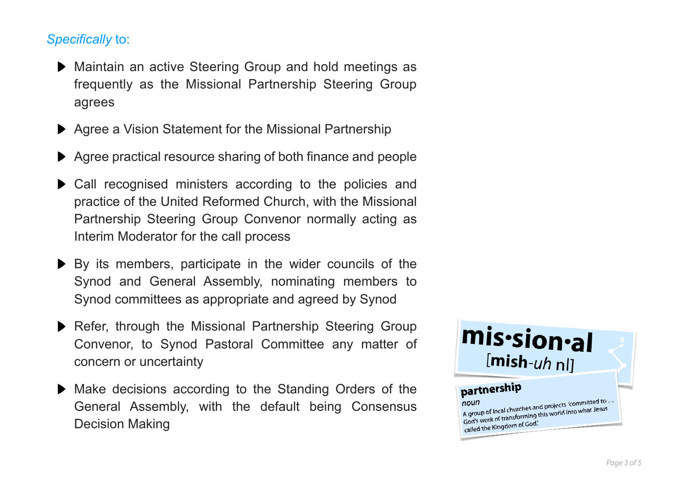## *Specifically* to:

- Maintain an active Steering Group and hold meetings as frequently as the Missional Partnership Steering Group agrees
- ▶ Agree a Vision Statement for the Missional Partnership
- Agree practical resource sharing of both finance and people
- Call recognised ministers according to the policies and practice of the United Reformed Church, with the Missional Partnership Steering Group Convenor normally acting as Interim Moderator for the call process
- $\triangleright$  By its members, participate in the wider councils of the Synod and General Assembly, nominating members to Synod committees as appropriate and agreed by Synod
- Refer, through the Missional Partnership Steering Group Convenor, to Synod Pastoral Committee any matter of concern or uncertainty
- Make decisions according to the Standing Orders of the General Assembly, with the default being Consensus Decision Making

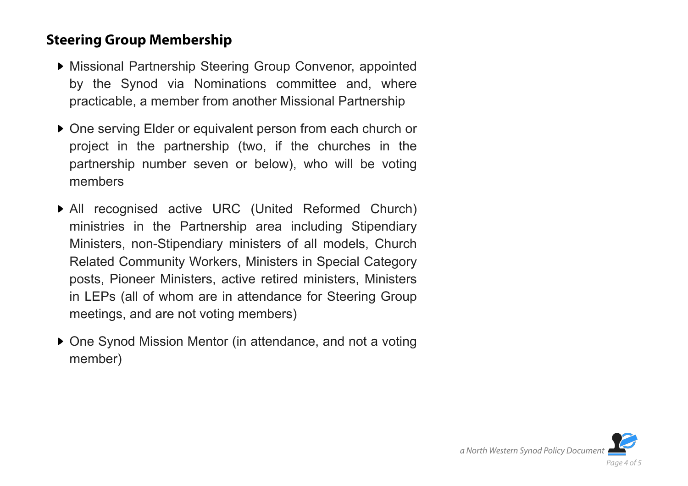## **Steering Group Membership**

- Missional Partnership Steering Group Convenor, appointed by the Synod via Nominations committee and, where practicable, a member from another Missional Partnership
- ▶ One serving Elder or equivalent person from each church or project in the partnership (two, if the churches in the partnership number seven or below), who will be voting members
- All recognised active URC (United Reformed Church) ministries in the Partnership area including Stipendiary Ministers, non-Stipendiary ministers of all models, Church Related Community Workers, Ministers in Special Category posts, Pioneer Ministers, active retired ministers, Ministers in LEPs (all of whom are in attendance for Steering Group meetings, and are not voting members)
- ▶ One Synod Mission Mentor (in attendance, and not a voting member)